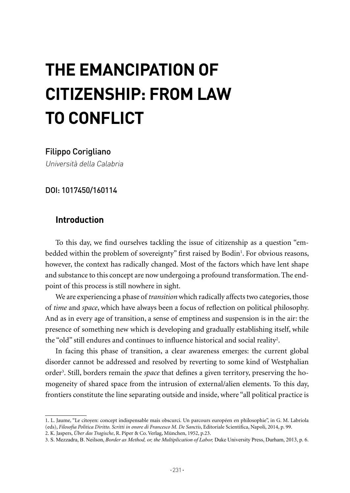# **THE EMANCIPATION OF CITIZENSHIP: FROM LAW TO CONFLICT**

#### Filippo Corigliano

Università della Calabria

DOI: 1017450/160114

## **Introduction**

To this day, we find ourselves tackling the issue of citizenship as a question "embedded within the problem of sovereignty" first raised by Bodin<sup>1</sup>. For obvious reasons, however, the context has radically changed. Most of the factors which have lent shape and substance to this concept are now undergoing a profound transformation. The endpoint of this process is still nowhere in sight.

We are experiencing a phase of *transition* which radically affects two categories, those of *time* and *space*, which have always been a focus of reflection on political philosophy. And as in every age of transition, a sense of emptiness and suspension is in the air: the presence of something new which is developing and gradually establishing itself, while the "old" still endures and continues to influence historical and social reality<sup>2</sup>.

In facing this phase of transition, a clear awareness emerges: the current global disorder cannot be addressed and resolved by reverting to some kind of Westphalian order<sup>3</sup>. Still, borders remain the *space* that defines a given territory, preserving the homogeneity of shared space from the intrusion of external/alien elements. To this day, frontiers constitute the line separating outside and inside, where "all political practice is

<sup>1.</sup> L. Jaume, "Le citoyen: concept indispensable mais obscurci. Un parcours européen en philosophie", in G. M. Labriola (eds), *Filosofia Politica Diritto. Scritti in onore di Francesco M. De Sanctis*, Editoriale Scientifica, Napoli, 2014, p. 99.

<sup>2.</sup> K. Jaspers, *Über das Tragische*, R. Piper & Co. Verlag, München, 1952, p.23.

<sup>3</sup>. S. Mezzadra, B. Neilson, *Border as Method, or, the Multiplication of Labor,* Duke University Press, Durham, 2013, p. 6.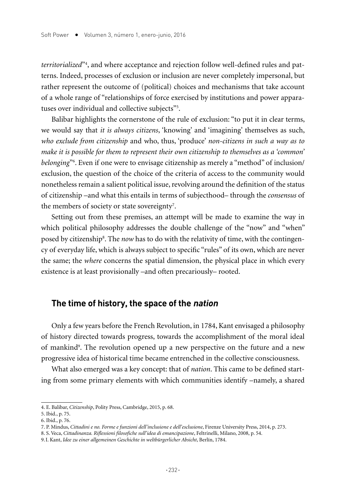*territorialized*"4 , and where acceptance and rejection follow well-defined rules and patterns. Indeed, processes of exclusion or inclusion are never completely impersonal, but rather represent the outcome of (political) choices and mechanisms that take account of a whole range of "relationships of force exercised by institutions and power apparatuses over individual and collective subjects"<sup>5</sup>.

Balibar highlights the cornerstone of the rule of exclusion: "to put it in clear terms, we would say that *it is always citizens*, 'knowing' and 'imagining' themselves as such, *who exclude from citizenship* and who, thus, 'produce' *non-citizens in such a way as to make it is possible for them to represent their own citizenship to themselves as a 'common' belonging*"6 . Even if one were to envisage citizenship as merely a "method" of inclusion/ exclusion, the question of the choice of the criteria of access to the community would nonetheless remain a salient political issue, revolving around the definition of the status of citizenship –and what this entails in terms of subjecthood– through the *consensus* of the members of society or state sovereignty<sup>7</sup>.

Setting out from these premises, an attempt will be made to examine the way in which political philosophy addresses the double challenge of the "now" and "when" posed by citizenship<sup>8</sup>. The *now* has to do with the relativity of time, with the contingency of everyday life, which is always subject to specific "rules" of its own, which are never the same; the *where* concerns the spatial dimension, the physical place in which every existence is at least provisionally –and often precariously– rooted.

### **The time of history, the space of the nation**

Only a few years before the French Revolution, in 1784, Kant envisaged a philosophy of history directed towards progress, towards the accomplishment of the moral ideal of mankind9 . The revolution opened up a new perspective on the future and a new progressive idea of historical time became entrenched in the collective consciousness.

What also emerged was a key concept: that of *nation*. This came to be defined starting from some primary elements with which communities identify –namely, a shared

<sup>4.</sup> E. Balibar, *Citizenship*, Polity Press, Cambridge, 2015, p. 68.

<sup>5.</sup> Ibid., p. 75.

<sup>6.</sup> Ibid., p. 76.

<sup>7.</sup> P. Mindus, *Cittadini e no. Forme e funzioni dell'inclusione e dell'esclusione*, Firenze University Press, 2014, p. 273.

<sup>8.</sup> S. Veca, *Cittadinanza. Riflessioni filosofiche sull'idea di emancipazione*, Feltrinelli, Milano, 2008, p. 54.

<sup>9.</sup>I. Kant, *Idee zu einer allgemeinen Geschichte in weltbürgerlicher Absicht*, Berlín, 1784.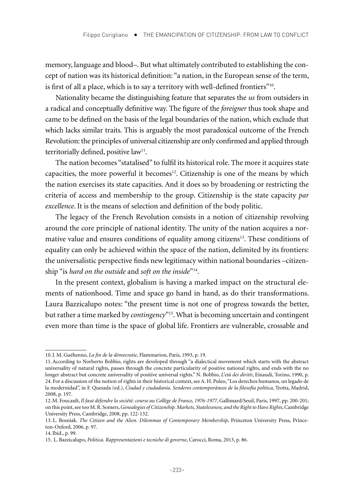memory, language and blood–. But what ultimately contributed to establishing the concept of nation was its historical definition: "a nation, in the European sense of the term, is first of all a place, which is to say a territory with well-defined frontiers"10.

Nationality became the distinguishing feature that separates the *us* from outsiders in a radical and conceptually definitive way. The figure of the *foreigner* thus took shape and came to be defined on the basis of the legal boundaries of the nation, which exclude that which lacks similar traits. This is arguably the most paradoxical outcome of the French Revolution: the principles of universal citizenship are only confirmed and applied through territorially defined, positive law<sup>11</sup>.

The nation becomes "statalised" to fulfil its historical role. The more it acquires state capacities, the more powerful it becomes<sup>12</sup>. Citizenship is one of the means by which the nation exercises its state capacities. And it does so by broadening or restricting the criteria of access and membership to the group. Citizenship is the state capacity *par excellence*. It is the means of selection and definition of the body politic.

The legacy of the French Revolution consists in a notion of citizenship revolving around the core principle of national identity. The unity of the nation acquires a normative value and ensures conditions of equality among citizens<sup>13</sup>. These conditions of equality can only be achieved within the space of the nation, delimited by its frontiers: the universalistic perspective finds new legitimacy within national boundaries –citizenship "is *hard on the outside* and *soft on the inside*"14.

In the present context, globalism is having a marked impact on the structural elements of nationhood. Time and space go hand in hand, as do their transformations. Laura Bazzicalupo notes: "the present time is not one of progress towards the better, but rather a time marked by *contingency*"15. What is becoming uncertain and contingent even more than time is the space of global life. Frontiers are vulnerable, crossable and

<sup>10.</sup>J. M. Guéhenno, *La fin de la démocratie*, Flammarion, Paris, 1993, p. 19.

<sup>11.</sup>According to Norberto Bobbio, rights are developed through "a dialectical movement which starts with the abstract universality of natural rights, passes through the concrete particularity of positive national rights, and ends with the no longer abstract but concrete universality of positive universal rights." N. Bobbio, *L'età dei diritti*, Einaudi, Torino, 1990, p. 24. For a discussion of the notion of rights in their historical context, see A. H. Puleo, "Los derechos humanos, un legado de la modernidad", in F. Quesada (ed.), *Ciudad y ciudadanía. Senderos contemporáneos de la filosofía política*, Trotta, Madrid, 2008, p. 197.

<sup>12.</sup>M. Foucault, *Il faut défendre la société: course au Collège de France, 1976-1977*, Gallimard/Seuil, Paris, 1997, pp. 200-201; on this point, see too M. R. Somers, *Genealogies of Citizenship. Markets, Statelessness, and the Right to Have Rights*, Cambridge University Press, Cambridge, 2008, pp. 122-132.

<sup>13.</sup> L. Bosniak. *The Citizen and the Alien. Dilemmas of Contemporary Membership*, Princeton University Press, Princeton-Oxford, 2006, p. 97.

<sup>14.</sup>Ibid., p. 99.

<sup>15.</sup> L. Bazzicalupo, *Politica. Rappresentazioni e tecniche di governo*, Carocci, Roma, 2013, p. 86.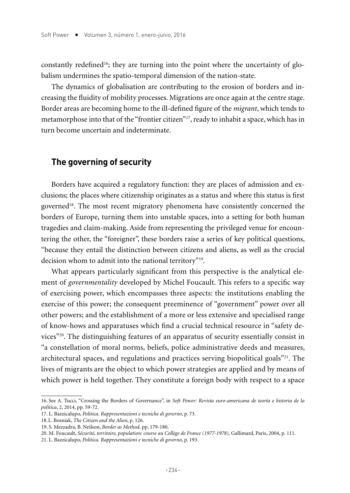constantly redefined<sup>16</sup>; they are turning into the point where the uncertainty of globalism undermines the spatio-temporal dimension of the nation-state.

The dynamics of globalisation are contributing to the erosion of borders and increasing the fluidity of mobility processes. Migrations are once again at the centre stage. Border areas are becoming home to the ill-defined figure of the *migrant*, which tends to metamorphose into that of the "frontier citizen"17, ready to inhabit a space, which has in turn become uncertain and indeterminate.

#### **The governing of security**

Borders have acquired a regulatory function: they are places of admission and exclusions; the places where citizenship originates as a status and where this status is first governed<sup>18</sup>. The most recent migratory phenomena have consistently concerned the borders of Europe, turning them into unstable spaces, into a setting for both human tragedies and claim-making. Aside from representing the privileged venue for encountering the other, the "foreigner", these borders raise a series of key political questions, "because they entail the distinction between citizens and aliens, as well as the crucial decision whom to admit into the national territory"19.

What appears particularly significant from this perspective is the analytical element of *governmentality* developed by Michel Foucault. This refers to a specific way of exercising power, which encompasses three aspects: the institutions enabling the exercise of this power; the consequent preeminence of "government" power over all other powers; and the establishment of a more or less extensive and specialised range of know-hows and apparatuses which find a crucial technical resource in "safety devices"20. The distinguishing features of an apparatus of security essentially consist in "a constellation of moral norms, beliefs, police administrative deeds and measures, architectural spaces, and regulations and practices serving biopolitical goals"<sup>21</sup>. The lives of migrants are the object to which power strategies are applied and by means of which power is held together. They constitute a foreign body with respect to a space

<sup>16.</sup> See A. Tucci, "Crossing the Borders of Governance", in *Soft Power: Revista euro-americana de teoría e historia de la política*, 2, 2014, pp. 59-72.

<sup>17.</sup> L. Bazzicalupo, *Politica. Rappresentazioni e tecniche di governo*, p. 73.

<sup>18.</sup>L. Bosniak, *The Citizen and the Alien*, p. 126.

<sup>19.</sup> S. Mezzadra, B. Neilson, *Border as Method,* pp. 179-180.

<sup>20.</sup> M. Foucault, *Sécurité, territoire, population: course au Collège de France (1977-1978),* Gallimard, Paris, 2004, p. 111.

<sup>21.</sup> L. Bazzicalupo, *Politica. Rappresentazioni e tecniche di governo*, p. 193.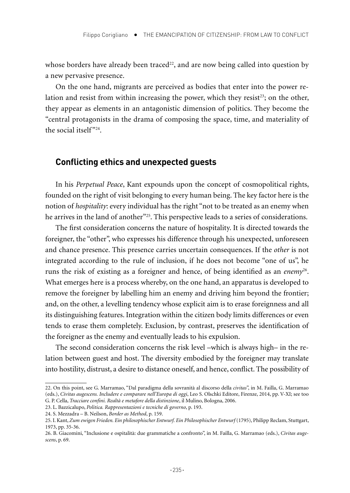whose borders have already been traced<sup>22</sup>, and are now being called into question by a new pervasive presence.

On the one hand, migrants are perceived as bodies that enter into the power relation and resist from within increasing the power, which they resist<sup>23</sup>; on the other, they appear as elements in an antagonistic dimension of politics. They become the "central protagonists in the drama of composing the space, time, and materiality of the social itself"24.

#### **Conflicting ethics and unexpected guests**

In his *Perpetual Peace*, Kant expounds upon the concept of cosmopolitical rights, founded on the right of visit belonging to every human being. The key factor here is the notion of *hospitality*: every individual has the right "not to be treated as an enemy when he arrives in the land of another<sup>"25</sup>. This perspective leads to a series of considerations.

The first consideration concerns the nature of hospitality. It is directed towards the foreigner, the "other", who expresses his difference through his unexpected, unforeseen and chance presence. This presence carries uncertain consequences. If the *other* is not integrated according to the rule of inclusion, if he does not become "one of us", he runs the risk of existing as a foreigner and hence, of being identified as an *enemy*26. What emerges here is a process whereby, on the one hand, an apparatus is developed to remove the foreigner by labelling him an enemy and driving him beyond the frontier; and, on the other, a levelling tendency whose explicit aim is to erase foreignness and all its distinguishing features. Integration within the citizen body limits differences or even tends to erase them completely. Exclusion, by contrast, preserves the identification of the foreigner as the enemy and eventually leads to his expulsion.

The second consideration concerns the risk level –which is always high– in the relation between guest and host. The diversity embodied by the foreigner may translate into hostility, distrust, a desire to distance oneself, and hence, conflict. The possibility of

<sup>22.</sup> On this point, see G. Marramao, "Dal paradigma della sovranità al discorso della *civitas*", in M. Failla, G. Marramao (eds.), *Civitas augescens. Includere e comparare nell'Europa di oggi*, Leo S. Olschki Editore, Firenze, 2014, pp. V-XI; see too G. P. Cella, *Tracciare confini. Realtà e metafore della distinzione*, il Mulino, Bologna, 2006.

<sup>23.</sup> L. Bazzicalupo, *Politica. Rappresentazioni e tecniche di governo*, p. 193.

<sup>24.</sup> S. Mezzadra – B. Neilson, *Border as Method*, p. 159.

<sup>25.</sup> I. Kant, Zum ewigen Frieden. Ein philosophischer Entwurf. Ein Philosophischer Entwurf (1795), Philipp Reclam, Stuttgart, 1973, pp. 35-36.

<sup>26.</sup> B. Giacomini, "Inclusione e ospitalità: due grammatiche a confronto", in M. Failla, G. Marramao (eds.), *Civitas augescens*, p. 69.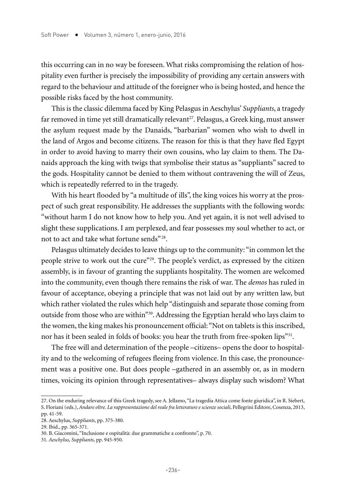this occurring can in no way be foreseen. What risks compromising the relation of hospitality even further is precisely the impossibility of providing any certain answers with regard to the behaviour and attitude of the foreigner who is being hosted, and hence the possible risks faced by the host community.

This is the classic dilemma faced by King Pelasgus in Aeschylus' *Suppliants*, a tragedy far removed in time yet still dramatically relevant<sup>27</sup>. Pelasgus, a Greek king, must answer the asylum request made by the Danaids, "barbarian" women who wish to dwell in the land of Argos and become citizens. The reason for this is that they have fled Egypt in order to avoid having to marry their own cousins, who lay claim to them. The Danaids approach the king with twigs that symbolise their status as "suppliants" sacred to the gods. Hospitality cannot be denied to them without contravening the will of Zeus, which is repeatedly referred to in the tragedy.

With his heart flooded by "a multitude of ills", the king voices his worry at the prospect of such great responsibility. He addresses the suppliants with the following words: "without harm I do not know how to help you. And yet again, it is not well advised to slight these supplications. I am perplexed, and fear possesses my soul whether to act, or not to act and take what fortune sends" 28.

Pelasgus ultimately decides to leave things up to the community: "in common let the people strive to work out the cure"<sup>29</sup>. The people's verdict, as expressed by the citizen assembly, is in favour of granting the suppliants hospitality. The women are welcomed into the community, even though there remains the risk of war. The *demos* has ruled in favour of acceptance, obeying a principle that was not laid out by any written law, but which rather violated the rules which help "distinguish and separate those coming from outside from those who are within"30. Addressing the Egyptian herald who lays claim to the women, the king makes his pronouncement official: "Not on tablets is this inscribed, nor has it been sealed in folds of books: you hear the truth from free-spoken lips"31.

The free will and determination of the people –citizens– opens the door to hospitality and to the welcoming of refugees fleeing from violence. In this case, the pronouncement was a positive one. But does people –gathered in an assembly or, as in modern times, voicing its opinion through representatives– always display such wisdom? What

<sup>27.</sup> On the enduring relevance of this Greek tragedy, see A. Jellamo, "La tragedia Attica come fonte giuridica", in R. Siebert, S. Floriani (eds.), *Andare oltre. La rappresentazione del reale fra letterature e scienze sociali*, Pellegrini Editore, Cosenza, 2013, pp. 41-59.

<sup>28.</sup> Aeschylus, *Suppliants*, pp. 375-380.

<sup>29.</sup> Ibid., pp. 365-371.

<sup>30.</sup> B. Giacomini, "Inclusione e ospitalità: due grammatiche a confronto", p. 70.

<sup>31</sup>*. Aeschylus, Suppliants*, pp. 945-950.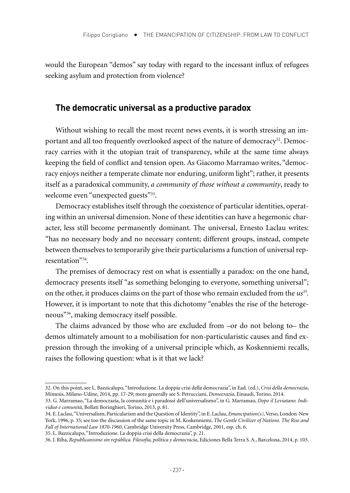would the European "demos" say today with regard to the incessant influx of refugees seeking asylum and protection from violence?

## **The democratic universal as a productive paradox**

Without wishing to recall the most recent news events, it is worth stressing an important and all too frequently overlooked aspect of the nature of democracy<sup>32</sup>. Democracy carries with it the utopian trait of transparency, while at the same time always keeping the field of conflict and tension open. As Giacomo Marramao writes, "democracy enjoys neither a temperate climate nor enduring, uniform light"; rather, it presents itself as a paradoxical community, *a community of those without a community*, ready to welcome even "unexpected guests"<sup>33</sup>.

Democracy establishes itself through the coexistence of particular identities, operating within an universal dimension. None of these identities can have a hegemonic character, less still become permanently dominant. The universal, Ernesto Laclau writes: "has no necessary body and no necessary content; different groups, instead, compete between themselves to temporarily give their particularisms a function of universal representation"34.

The premises of democracy rest on what is essentially a paradox: on the one hand, democracy presents itself "as something belonging to everyone, something universal"; on the other, it produces claims on the part of those who remain excluded from the *us35.*  However, it is important to note that this dichotomy "enables the rise of the heterogeneous"36, making democracy itself possible.

The claims advanced by those who are excluded from –or do not belong to– the demos ultimately amount to a mobilisation for non-particularistic causes and find expression through the invoking of a universal principle which, as Koskenniemi recalls, raises the following question: what is it that we lack?

<sup>32.</sup> On this point, see L. Bazzicalupo, "Introduzione. La doppia crisi della democrazia", in Ead. (ed.), *Crisi della democrazia*, Mimesis, Milano-Udine, 2014, pp. 17-29; more generally see S. Petrucciani, *Democrazia*, Einaudi, Torino, 2014.

<sup>33.</sup> G. Marramao, "La democrazia, la comunità e i paradossi dell'universalismo", in G. Marramao, *Dopo il Leviatano. Individuo e comunità*, Bollati Boringhieri, Torino, 2013, p. 81.

<sup>34.</sup> E. Laclau, "Universalism, Particularism and the Question of Identity", in E. Laclau, *Emancipation(s)*, Verso, London-New York, 1996, p. 35; see too the discussion of the same topic in M. Koskenniemi, *The Gentle Civilizer of Nations. The Rise and Fall of International Law 1870-1960*, Cambridge University Press, Cambridge, 2001, esp. ch. 6.

<sup>35.</sup> L. Bazzicalupo, "Introduzione. La doppia crisi della democrazia", p. 21.

<sup>36.</sup> J. Riba, *Republicanismo sin república. Filosofía, política y democracia*, Ediciones Bella Terra S. A., Barcelona, 2014, p. 103.